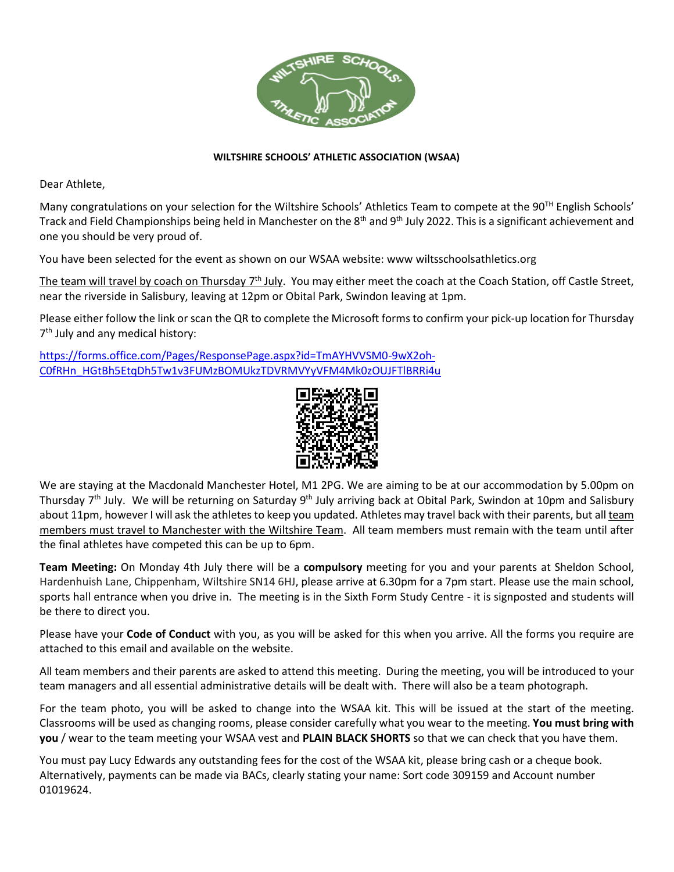

# **WILTSHIRE SCHOOLS' ATHLETIC ASSOCIATION (WSAA)**

Dear Athlete,

Many congratulations on your selection for the Wiltshire Schools' Athletics Team to compete at the 90<sup>TH</sup> English Schools' Track and Field Championships being held in Manchester on the 8<sup>th</sup> and 9<sup>th</sup> July 2022. This is a significant achievement and one you should be very proud of.

You have been selected for the event as shown on our WSAA website: www wiltsschoolsathletics.org

The team will travel by coach on Thursday 7<sup>th</sup> July. You may either meet the coach at the Coach Station, off Castle Street, near the riverside in Salisbury, leaving at 12pm or Obital Park, Swindon leaving at 1pm.

Please either follow the link or scan the QR to complete the Microsoft forms to confirm your pick-up location for Thursday 7<sup>th</sup> July and any medical history:

[https://forms.office.com/Pages/ResponsePage.aspx?id=TmAYHVVSM0-9wX2oh-](https://forms.office.com/Pages/ResponsePage.aspx?id=TmAYHVVSM0-9wX2oh-C0fRHn_HGtBh5EtqDh5Tw1v3FUMzBOMUkzTDVRMVYyVFM4Mk0zOUJFTlBRRi4u)[C0fRHn\\_HGtBh5EtqDh5Tw1v3FUMzBOMUkzTDVRMVYyVFM4Mk0zOUJFTlBRRi4u](https://forms.office.com/Pages/ResponsePage.aspx?id=TmAYHVVSM0-9wX2oh-C0fRHn_HGtBh5EtqDh5Tw1v3FUMzBOMUkzTDVRMVYyVFM4Mk0zOUJFTlBRRi4u)



We are staying at the Macdonald Manchester Hotel, M1 2PG. We are aiming to be at our accommodation by 5.00pm on Thursday 7<sup>th</sup> July. We will be returning on Saturday 9<sup>th</sup> July arriving back at Obital Park, Swindon at 10pm and Salisbury about 11pm, however I will ask the athletes to keep you updated. Athletes may travel back with their parents, but all team members must travel to Manchester with the Wiltshire Team. All team members must remain with the team until after the final athletes have competed this can be up to 6pm.

**Team Meeting:** On Monday 4th July there will be a **compulsory** meeting for you and your parents at Sheldon School, Hardenhuish Lane, Chippenham, Wiltshire SN14 6HJ, please arrive at 6.30pm for a 7pm start. Please use the main school, sports hall entrance when you drive in. The meeting is in the Sixth Form Study Centre - it is signposted and students will be there to direct you.

Please have your **Code of Conduct** with you, as you will be asked for this when you arrive. All the forms you require are attached to this email and available on the website.

All team members and their parents are asked to attend this meeting. During the meeting, you will be introduced to your team managers and all essential administrative details will be dealt with. There will also be a team photograph.

For the team photo, you will be asked to change into the WSAA kit. This will be issued at the start of the meeting. Classrooms will be used as changing rooms, please consider carefully what you wear to the meeting. **You must bring with you** / wear to the team meeting your WSAA vest and **PLAIN BLACK SHORTS** so that we can check that you have them.

You must pay Lucy Edwards any outstanding fees for the cost of the WSAA kit, please bring cash or a cheque book. Alternatively, payments can be made via BACs, clearly stating your name: Sort code 309159 and Account number 01019624.